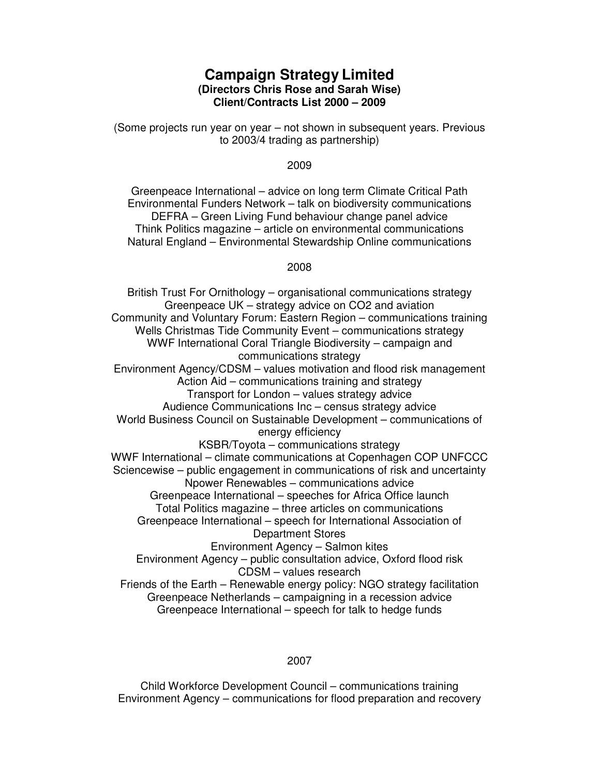# **Campaign Strategy Limited (Directors Chris Rose and Sarah Wise) Client/Contracts List 2000 – 2009**

(Some projects run year on year – not shown in subsequent years. Previous to 2003/4 trading as partnership)

#### 2009

Greenpeace International – advice on long term Climate Critical Path Environmental Funders Network – talk on biodiversity communications DEFRA – Green Living Fund behaviour change panel advice Think Politics magazine – article on environmental communications Natural England – Environmental Stewardship Online communications

#### 2008

British Trust For Ornithology – organisational communications strategy Greenpeace UK – strategy advice on CO2 and aviation Community and Voluntary Forum: Eastern Region – communications training Wells Christmas Tide Community Event – communications strategy WWF International Coral Triangle Biodiversity – campaign and communications strategy Environment Agency/CDSM – values motivation and flood risk management Action Aid – communications training and strategy Transport for London – values strategy advice Audience Communications Inc – census strategy advice World Business Council on Sustainable Development – communications of energy efficiency KSBR/Toyota – communications strategy WWF International – climate communications at Copenhagen COP UNFCCC Sciencewise – public engagement in communications of risk and uncertainty Npower Renewables – communications advice Greenpeace International – speeches for Africa Office launch Total Politics magazine – three articles on communications Greenpeace International – speech for International Association of Department Stores Environment Agency – Salmon kites Environment Agency – public consultation advice, Oxford flood risk CDSM – values research Friends of the Earth – Renewable energy policy: NGO strategy facilitation Greenpeace Netherlands – campaigning in a recession advice Greenpeace International – speech for talk to hedge funds

## 2007

Child Workforce Development Council – communications training Environment Agency – communications for flood preparation and recovery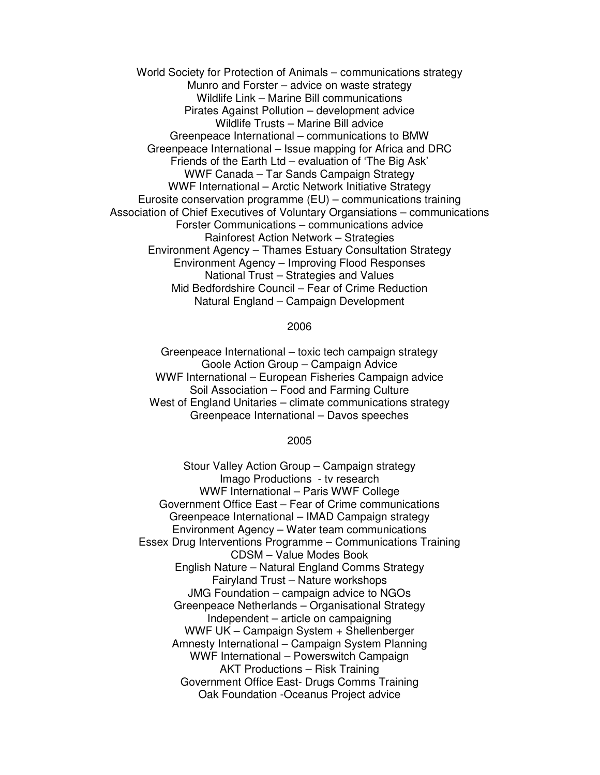World Society for Protection of Animals – communications strategy Munro and Forster – advice on waste strategy Wildlife Link – Marine Bill communications Pirates Against Pollution – development advice Wildlife Trusts – Marine Bill advice Greenpeace International – communications to BMW Greenpeace International – Issue mapping for Africa and DRC Friends of the Earth Ltd – evaluation of 'The Big Ask' WWF Canada – Tar Sands Campaign Strategy WWF International – Arctic Network Initiative Strategy Eurosite conservation programme (EU) – communications training Association of Chief Executives of Voluntary Organsiations – communications Forster Communications – communications advice Rainforest Action Network – Strategies Environment Agency – Thames Estuary Consultation Strategy Environment Agency – Improving Flood Responses National Trust – Strategies and Values Mid Bedfordshire Council – Fear of Crime Reduction Natural England – Campaign Development

#### 2006

Greenpeace International – toxic tech campaign strategy Goole Action Group – Campaign Advice WWF International – European Fisheries Campaign advice Soil Association – Food and Farming Culture West of England Unitaries – climate communications strategy Greenpeace International – Davos speeches

### 2005

Stour Valley Action Group – Campaign strategy Imago Productions - tv research WWF International – Paris WWF College Government Office East – Fear of Crime communications Greenpeace International – IMAD Campaign strategy Environment Agency – Water team communications Essex Drug Interventions Programme – Communications Training CDSM – Value Modes Book English Nature – Natural England Comms Strategy Fairyland Trust – Nature workshops JMG Foundation – campaign advice to NGOs Greenpeace Netherlands – Organisational Strategy Independent – article on campaigning WWF UK – Campaign System + Shellenberger Amnesty International – Campaign System Planning WWF International – Powerswitch Campaign AKT Productions – Risk Training Government Office East- Drugs Comms Training Oak Foundation -Oceanus Project advice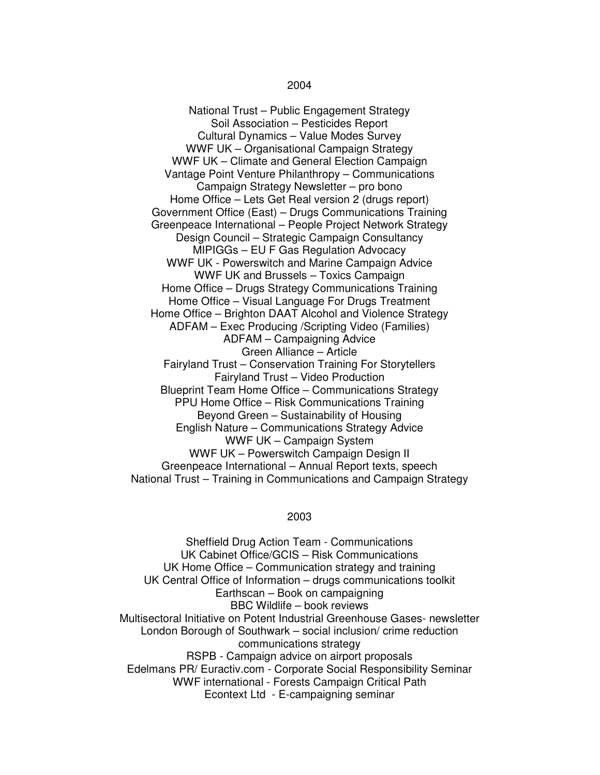National Trust – Public Engagement Strategy Soil Association – Pesticides Report Cultural Dynamics – Value Modes Survey WWF UK – Organisational Campaign Strategy WWF UK – Climate and General Election Campaign Vantage Point Venture Philanthropy – Communications Campaign Strategy Newsletter – pro bono Home Office – Lets Get Real version 2 (drugs report) Government Office (East) – Drugs Communications Training Greenpeace International – People Project Network Strategy Design Council – Strategic Campaign Consultancy MIPIGGs – EU F Gas Regulation Advocacy WWF UK - Powerswitch and Marine Campaign Advice WWF UK and Brussels – Toxics Campaign Home Office – Drugs Strategy Communications Training Home Office – Visual Language For Drugs Treatment Home Office – Brighton DAAT Alcohol and Violence Strategy ADFAM – Exec Producing /Scripting Video (Families) ADFAM – Campaigning Advice Green Alliance – Article Fairyland Trust – Conservation Training For Storytellers Fairyland Trust – Video Production Blueprint Team Home Office – Communications Strategy PPU Home Office – Risk Communications Training Beyond Green – Sustainability of Housing English Nature – Communications Strategy Advice WWF UK – Campaign System WWF UK – Powerswitch Campaign Design II Greenpeace International – Annual Report texts, speech National Trust – Training in Communications and Campaign Strategy

### 2003

Sheffield Drug Action Team - Communications UK Cabinet Office/GCIS – Risk Communications UK Home Office – Communication strategy and training UK Central Office of Information – drugs communications toolkit Earthscan – Book on campaigning BBC Wildlife – book reviews Multisectoral Initiative on Potent Industrial Greenhouse Gases- newsletter London Borough of Southwark – social inclusion/ crime reduction communications strategy RSPB - Campaign advice on airport proposals Edelmans PR/ Euractiv.com - Corporate Social Responsibility Seminar WWF international - Forests Campaign Critical Path Econtext Ltd - E-campaigning seminar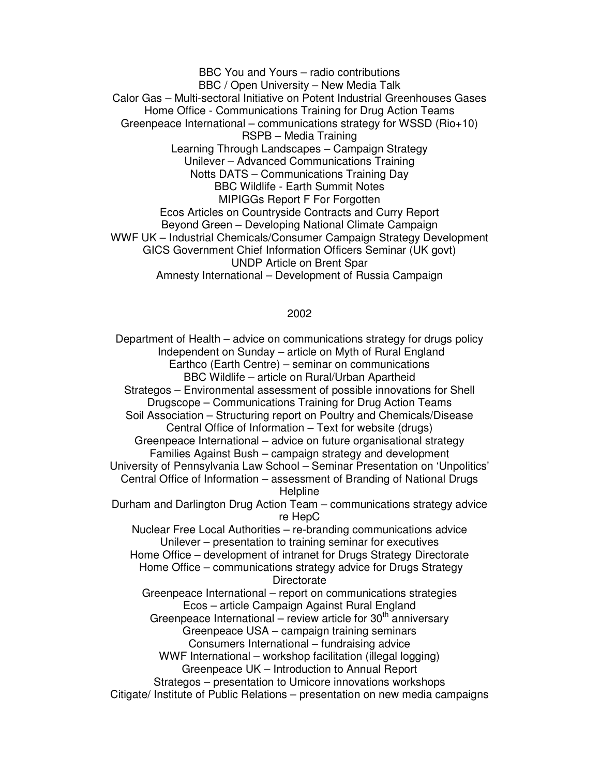BBC You and Yours – radio contributions BBC / Open University – New Media Talk Calor Gas – Multi-sectoral Initiative on Potent Industrial Greenhouses Gases Home Office - Communications Training for Drug Action Teams Greenpeace International – communications strategy for WSSD (Rio+10) RSPB – Media Training Learning Through Landscapes – Campaign Strategy Unilever – Advanced Communications Training Notts DATS – Communications Training Day BBC Wildlife - Earth Summit Notes MIPIGGs Report F For Forgotten Ecos Articles on Countryside Contracts and Curry Report Beyond Green – Developing National Climate Campaign WWF UK – Industrial Chemicals/Consumer Campaign Strategy Development GICS Government Chief Information Officers Seminar (UK govt) UNDP Article on Brent Spar Amnesty International – Development of Russia Campaign

# 2002

Department of Health – advice on communications strategy for drugs policy Independent on Sunday – article on Myth of Rural England Earthco (Earth Centre) – seminar on communications BBC Wildlife – article on Rural/Urban Apartheid Strategos – Environmental assessment of possible innovations for Shell Drugscope – Communications Training for Drug Action Teams Soil Association – Structuring report on Poultry and Chemicals/Disease Central Office of Information – Text for website (drugs) Greenpeace International – advice on future organisational strategy Families Against Bush – campaign strategy and development University of Pennsylvania Law School – Seminar Presentation on 'Unpolitics' Central Office of Information – assessment of Branding of National Drugs **Helpline** Durham and Darlington Drug Action Team – communications strategy advice re HepC Nuclear Free Local Authorities – re-branding communications advice Unilever – presentation to training seminar for executives Home Office – development of intranet for Drugs Strategy Directorate Home Office – communications strategy advice for Drugs Strategy **Directorate** Greenpeace International – report on communications strategies Ecos – article Campaign Against Rural England Greenpeace International – review article for  $30<sup>th</sup>$  anniversary Greenpeace USA – campaign training seminars Consumers International – fundraising advice WWF International – workshop facilitation (illegal logging) Greenpeace UK – Introduction to Annual Report Strategos – presentation to Umicore innovations workshops Citigate/ Institute of Public Relations – presentation on new media campaigns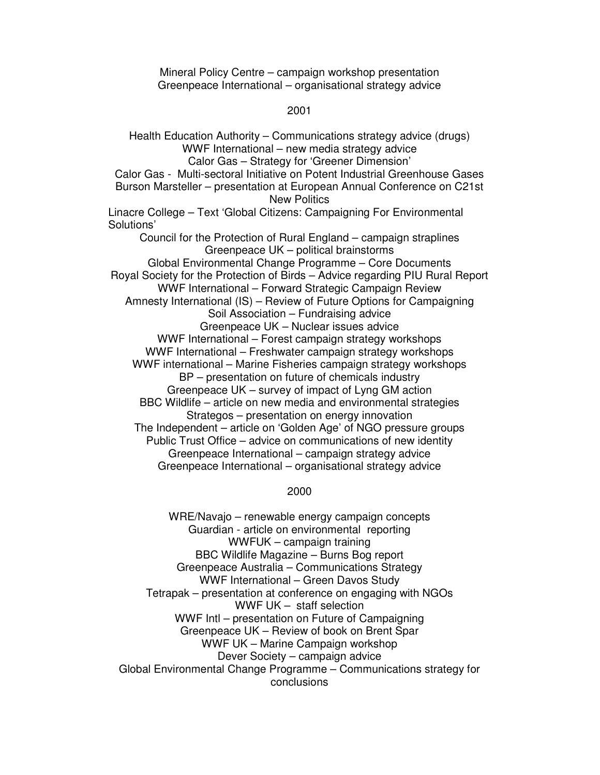Mineral Policy Centre – campaign workshop presentation Greenpeace International – organisational strategy advice

### 2001

Health Education Authority – Communications strategy advice (drugs) WWF International – new media strategy advice Calor Gas – Strategy for 'Greener Dimension' Calor Gas - Multi-sectoral Initiative on Potent Industrial Greenhouse Gases Burson Marsteller – presentation at European Annual Conference on C21st New Politics Linacre College – Text 'Global Citizens: Campaigning For Environmental Solutions' Council for the Protection of Rural England – campaign straplines Greenpeace UK – political brainstorms Global Environmental Change Programme – Core Documents Royal Society for the Protection of Birds – Advice regarding PIU Rural Report WWF International – Forward Strategic Campaign Review Amnesty International (IS) – Review of Future Options for Campaigning Soil Association – Fundraising advice Greenpeace UK – Nuclear issues advice WWF International – Forest campaign strategy workshops WWF International – Freshwater campaign strategy workshops WWF international – Marine Fisheries campaign strategy workshops BP – presentation on future of chemicals industry Greenpeace UK – survey of impact of Lyng GM action BBC Wildlife – article on new media and environmental strategies Strategos – presentation on energy innovation The Independent – article on 'Golden Age' of NGO pressure groups Public Trust Office – advice on communications of new identity Greenpeace International – campaign strategy advice Greenpeace International – organisational strategy advice

### 2000

WRE/Navajo – renewable energy campaign concepts Guardian - article on environmental reporting WWFUK – campaign training BBC Wildlife Magazine – Burns Bog report Greenpeace Australia – Communications Strategy WWF International – Green Davos Study Tetrapak – presentation at conference on engaging with NGOs WWF UK – staff selection WWF Intl – presentation on Future of Campaigning Greenpeace UK – Review of book on Brent Spar WWF UK – Marine Campaign workshop Dever Society – campaign advice Global Environmental Change Programme – Communications strategy for conclusions